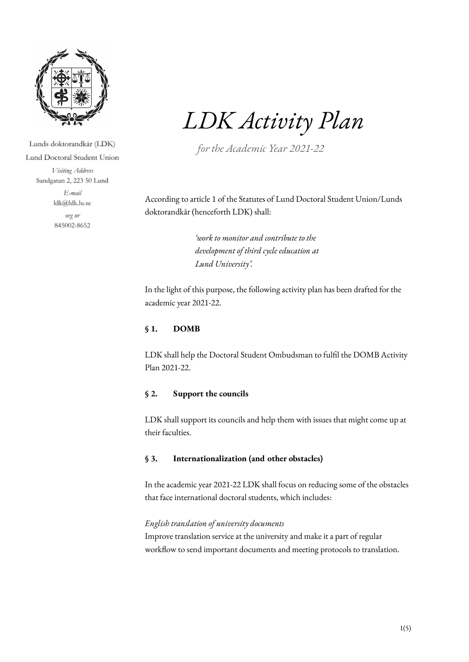

Lunds doktorandkår (LDK) Lund Doctoral Student Union Visiting Address Sandgatan 2, 223 50 Lund E-mail ldk@ldk.lu.se org nr 845002-8652

# *LDK Activity Plan*

*for the Academic Year 2021-22*

According to article 1 of the Statutes of Lund Doctoral Student Union/Lunds doktorandkår (henceforth LDK) shall:

> *'work to monitor and contribute to the development of third cycle education at Lund University'.*

In the light of this purpose, the following activity plan has been drafted for the academic year 2021-22.

## **§ 1. DOMB**

LDK shall help the Doctoral Student Ombudsman to fulfil the DOMB Activity Plan 2021-22.

#### **§ 2. Support the councils**

LDK shall support its councils and help them with issues that might come up at their faculties.

#### **§ 3. Internationalization (and other obstacles)**

In the academic year 2021-22 LDK shall focus on reducing some of the obstacles that face international doctoral students, which includes:

## *English translation of university documents*

Improve translation service at the university and make it a part of regular workflow to send important documents and meeting protocols to translation.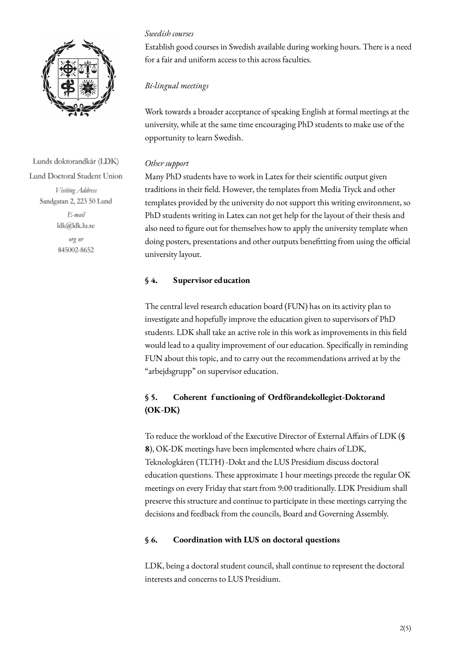

Establish good courses in Swedish available during working hours. There is a need for a fair and uniform access to this across faculties.

## *Bi-lingual meetings*

*Swedish courses*

Work towards a broader acceptance of speaking English at formal meetings at the university, while at the same time encouraging PhD students to make use of the opportunity to learn Swedish.

#### *Other support*

Many PhD students have to work in Latex for their scientific output given traditions in their field. However, the templates from Media Tryck and other templates provided by the university do not support this writing environment, so PhD students writing in Latex can not get help for the layout of their thesis and also need to figure out for themselves how to apply the university template when doing posters, presentations and other outputs benefitting from using the official university layout.

## **§ 4. Supervisor education**

The central level research education board (FUN) has on its activity plan to investigate and hopefully improve the education given to supervisors of PhD students. LDK shall take an active role in this work as improvements in this field would lead to a quality improvement of our education. Specifically in reminding FUN about this topic, and to carry out the recommendations arrived at by the "arbejdsgrupp" on supervisor education.

# **§ 5. Coherent f unctioning of Ordförandekollegiet-Doktorand (OK-DK)**

To reduce the workload of the Executive Director of External Affairs of LDK (**§ 8**), OK-DK meetings have been implemented where chairs of LDK, Teknologkåren (TLTH) -Dokt and the LUS Presidium discuss doctoral education questions. These approximate 1 hour meetings precede the regular OK meetings on every Friday that start from 9:00 traditionally. LDK Presidium shall preserve this structure and continue to participate in these meetings carrying the decisions and feedback from the councils, Board and Governing Assembly.

## **§ 6. Coordination with LUS on doctoral questions**

LDK, being a doctoral student council, shall continue to represent the doctoral interests and concerns to LUS Presidium.

Lunds doktorandkår (LDK) Lund Doctoral Student Union Visiting Address Sandgatan 2, 223 50 Lund E-mail ldk@ldk.lu.se org nr

845002-8652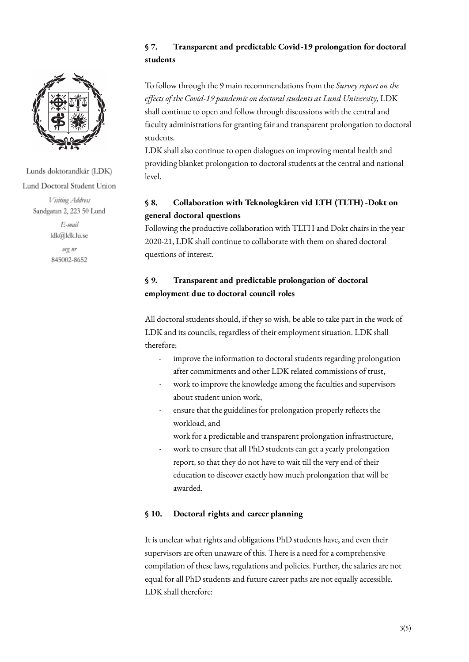

Lunds doktorandkår (LDK) Lund Doctoral Student Union

> Visiting Address Sandgatan 2, 223 50 Lund E-mail

ldk@ldk.lu.se org nr 845002-8652

## **§ 7. Transparent and predictable Covid-19 prolongation for doctoral students**

To follow through the 9 main recommendations from the *Survey report on the effects of the Covid-19 pandemic on doctoral students at Lund University,* LDK shall continue to open and follow through discussions with the central and faculty administrations for granting fair and transparent prolongation to doctoral students.

LDK shall also continue to open dialogues on improving mental health and providing blanket prolongation to doctoral students at the central and national level.

# **§ 8. Collaboration with Teknologkåren vid LTH (TLTH) -Dokt on general doctoral questions**

Following the productive collaboration with TLTH and Dokt chairs in the year 2020-21, LDK shall continue to collaborate with them on shared doctoral questions of interest.

# **§ 9. Transparent and predictable prolongation of doctoral employment due to doctoral council roles**

All doctoral students should, if they so wish, be able to take part in the work of LDK and its councils, regardless of their employment situation. LDK shall therefore:

- improve the information to doctoral students regarding prolongation after commitments and other LDK related commissions of trust,
- work to improve the knowledge among the faculties and supervisors about student union work,
- ensure that the guidelines for prolongation properly reflects the workload, and

work for a predictable and transparent prolongation infrastructure,

work to ensure that all PhD students can get a yearly prolongation report, so that they do not have to wait till the very end of their education to discover exactly how much prolongation that will be awarded.

# **§ 10. Doctoral rights and career planning**

It is unclear what rights and obligations PhD students have, and even their supervisors are often unaware of this. There is a need for a comprehensive compilation of these laws, regulations and policies. Further, the salaries are not equal for all PhD students and future career paths are not equally accessible. LDK shall therefore: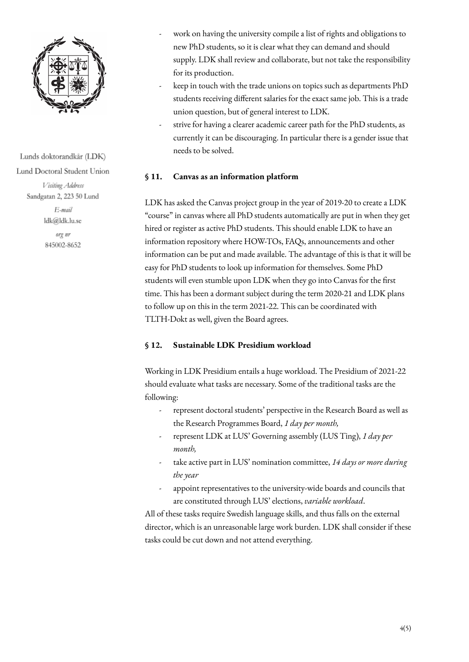

Lunds doktorandkår (LDK) Lund Doctoral Student Union

> Visiting Address Sandgatan 2, 223 50 Lund

> > E-mail ldk@ldk.lu.se

org nr 845002-8652

- work on having the university compile a list of rights and obligations to new PhD students, so it is clear what they can demand and should supply. LDK shall review and collaborate, but not take the responsibility for its production.
- keep in touch with the trade unions on topics such as departments PhD students receiving different salaries for the exact same job. This is a trade union question, but of general interest to LDK.
- strive for having a clearer academic career path for the PhD students, as currently it can be discouraging. In particular there is a gender issue that needs to be solved.

#### **§ 11. Canvas as an information platform**

LDK has asked the Canvas project group in the year of 2019-20 to create a LDK "course" in canvas where all PhD students automatically are put in when they get hired or register as active PhD students. This should enable LDK to have an information repository where HOW-TOs, FAQs, announcements and other information can be put and made available. The advantage of this is that it will be easy for PhD students to look up information for themselves. Some PhD students will even stumble upon LDK when they go into Canvas for the first time. This has been a dormant subject during the term 2020-21 and LDK plans to follow up on this in the term 2021-22. This can be coordinated with TLTH-Dokt as well, given the Board agrees.

## **§ 12. Sustainable LDK Presidium workload**

Working in LDK Presidium entails a huge workload. The Presidium of 2021-22 should evaluate what tasks are necessary. Some of the traditional tasks are the following:

- represent doctoral students' perspective in the Research Board as well as the Research Programmes Board, *1 day per month,*
- represent LDK at LUS' Governing assembly (LUS Ting), *1 day per month,*
- take active part in LUS' nomination committee, *14 days or more during the year*
- appoint representatives to the university-wide boards and councils that are constituted through LUS' elections, *variable workload*.

All of these tasks require Swedish language skills, and thus falls on the external director, which is an unreasonable large work burden. LDK shall consider if these tasks could be cut down and not attend everything.